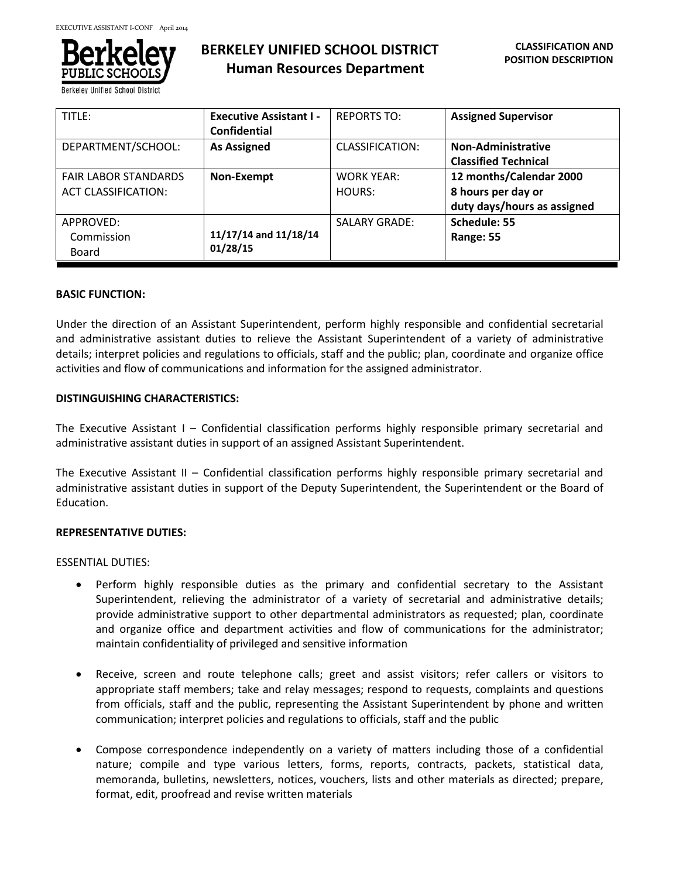

**Berkeley Unified School Dis** 

# **BERKELEY UNIFIED SCHOOL DISTRICT Human Resources Department**

| TITLE:                                                    | <b>Executive Assistant I -</b><br>Confidential | <b>REPORTS TO:</b>          | <b>Assigned Supervisor</b>                                                   |
|-----------------------------------------------------------|------------------------------------------------|-----------------------------|------------------------------------------------------------------------------|
| DEPARTMENT/SCHOOL:                                        | <b>As Assigned</b>                             | CLASSIFICATION:             | <b>Non-Administrative</b><br><b>Classified Technical</b>                     |
| <b>FAIR LABOR STANDARDS</b><br><b>ACT CLASSIFICATION:</b> | Non-Exempt                                     | <b>WORK YEAR:</b><br>HOURS: | 12 months/Calendar 2000<br>8 hours per day or<br>duty days/hours as assigned |
| APPROVED:<br>Commission<br>Board                          | 11/17/14 and 11/18/14<br>01/28/15              | <b>SALARY GRADE:</b>        | Schedule: 55<br>Range: 55                                                    |

### **BASIC FUNCTION:**

Under the direction of an Assistant Superintendent, perform highly responsible and confidential secretarial and administrative assistant duties to relieve the Assistant Superintendent of a variety of administrative details; interpret policies and regulations to officials, staff and the public; plan, coordinate and organize office activities and flow of communications and information for the assigned administrator.

# **DISTINGUISHING CHARACTERISTICS:**

The Executive Assistant I – Confidential classification performs highly responsible primary secretarial and administrative assistant duties in support of an assigned Assistant Superintendent.

The Executive Assistant II – Confidential classification performs highly responsible primary secretarial and administrative assistant duties in support of the Deputy Superintendent, the Superintendent or the Board of Education.

# **REPRESENTATIVE DUTIES:**

ESSENTIAL DUTIES:

- Perform highly responsible duties as the primary and confidential secretary to the Assistant Superintendent, relieving the administrator of a variety of secretarial and administrative details; provide administrative support to other departmental administrators as requested; plan, coordinate and organize office and department activities and flow of communications for the administrator; maintain confidentiality of privileged and sensitive information
- Receive, screen and route telephone calls; greet and assist visitors; refer callers or visitors to appropriate staff members; take and relay messages; respond to requests, complaints and questions from officials, staff and the public, representing the Assistant Superintendent by phone and written communication; interpret policies and regulations to officials, staff and the public
- Compose correspondence independently on a variety of matters including those of a confidential nature; compile and type various letters, forms, reports, contracts, packets, statistical data, memoranda, bulletins, newsletters, notices, vouchers, lists and other materials as directed; prepare, format, edit, proofread and revise written materials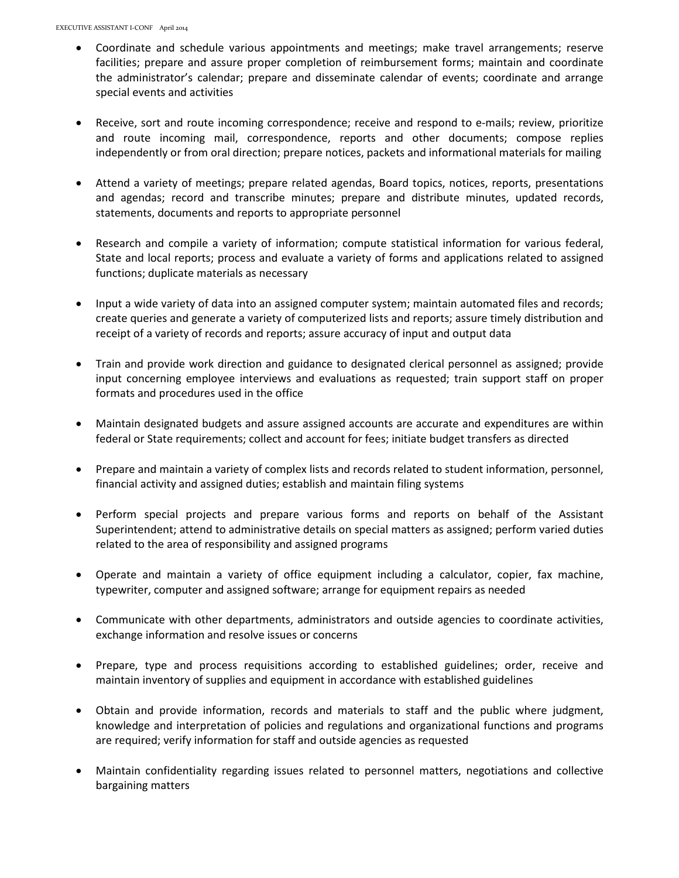- Coordinate and schedule various appointments and meetings; make travel arrangements; reserve facilities; prepare and assure proper completion of reimbursement forms; maintain and coordinate the administrator's calendar; prepare and disseminate calendar of events; coordinate and arrange special events and activities
- Receive, sort and route incoming correspondence; receive and respond to e-mails; review, prioritize and route incoming mail, correspondence, reports and other documents; compose replies independently or from oral direction; prepare notices, packets and informational materials for mailing
- Attend a variety of meetings; prepare related agendas, Board topics, notices, reports, presentations and agendas; record and transcribe minutes; prepare and distribute minutes, updated records, statements, documents and reports to appropriate personnel
- Research and compile a variety of information; compute statistical information for various federal, State and local reports; process and evaluate a variety of forms and applications related to assigned functions; duplicate materials as necessary
- Input a wide variety of data into an assigned computer system; maintain automated files and records; create queries and generate a variety of computerized lists and reports; assure timely distribution and receipt of a variety of records and reports; assure accuracy of input and output data
- Train and provide work direction and guidance to designated clerical personnel as assigned; provide input concerning employee interviews and evaluations as requested; train support staff on proper formats and procedures used in the office
- Maintain designated budgets and assure assigned accounts are accurate and expenditures are within federal or State requirements; collect and account for fees; initiate budget transfers as directed
- Prepare and maintain a variety of complex lists and records related to student information, personnel, financial activity and assigned duties; establish and maintain filing systems
- Perform special projects and prepare various forms and reports on behalf of the Assistant Superintendent; attend to administrative details on special matters as assigned; perform varied duties related to the area of responsibility and assigned programs
- Operate and maintain a variety of office equipment including a calculator, copier, fax machine, typewriter, computer and assigned software; arrange for equipment repairs as needed
- Communicate with other departments, administrators and outside agencies to coordinate activities, exchange information and resolve issues or concerns
- Prepare, type and process requisitions according to established guidelines; order, receive and maintain inventory of supplies and equipment in accordance with established guidelines
- Obtain and provide information, records and materials to staff and the public where judgment, knowledge and interpretation of policies and regulations and organizational functions and programs are required; verify information for staff and outside agencies as requested
- Maintain confidentiality regarding issues related to personnel matters, negotiations and collective bargaining matters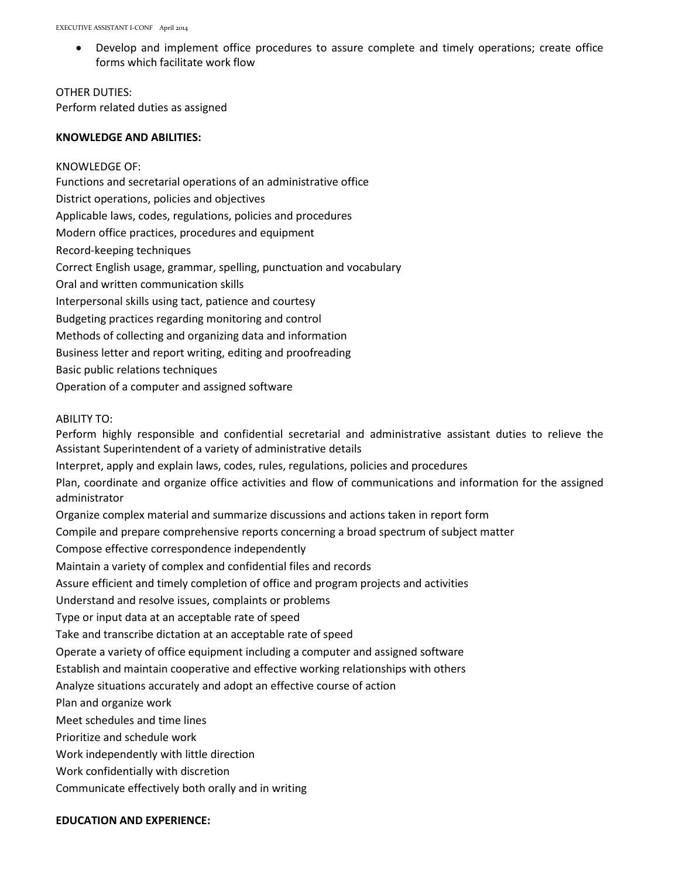• Develop and implement office procedures to assure complete and timely operations; create office forms which facilitate work flow

# OTHER DUTIES: Perform related duties as assigned

### **KNOWLEDGE AND ABILITIES:**

KNOWLEDGE OF: Functions and secretarial operations of an administrative office District operations, policies and objectives Applicable laws, codes, regulations, policies and procedures Modern office practices, procedures and equipment Record-keeping techniques Correct English usage, grammar, spelling, punctuation and vocabulary Oral and written communication skills Interpersonal skills using tact, patience and courtesy Budgeting practices regarding monitoring and control Methods of collecting and organizing data and information Business letter and report writing, editing and proofreading Basic public relations techniques Operation of a computer and assigned software

### ABILITY TO:

Perform highly responsible and confidential secretarial and administrative assistant duties to relieve the Assistant Superintendent of a variety of administrative details Interpret, apply and explain laws, codes, rules, regulations, policies and procedures Plan, coordinate and organize office activities and flow of communications and information for the assigned administrator Organize complex material and summarize discussions and actions taken in report form Compile and prepare comprehensive reports concerning a broad spectrum of subject matter Compose effective correspondence independently Maintain a variety of complex and confidential files and records Assure efficient and timely completion of office and program projects and activities Understand and resolve issues, complaints or problems Type or input data at an acceptable rate of speed Take and transcribe dictation at an acceptable rate of speed Operate a variety of office equipment including a computer and assigned software Establish and maintain cooperative and effective working relationships with others Analyze situations accurately and adopt an effective course of action Plan and organize work Meet schedules and time lines Prioritize and schedule work Work independently with little direction Work confidentially with discretion Communicate effectively both orally and in writing

# **EDUCATION AND EXPERIENCE:**